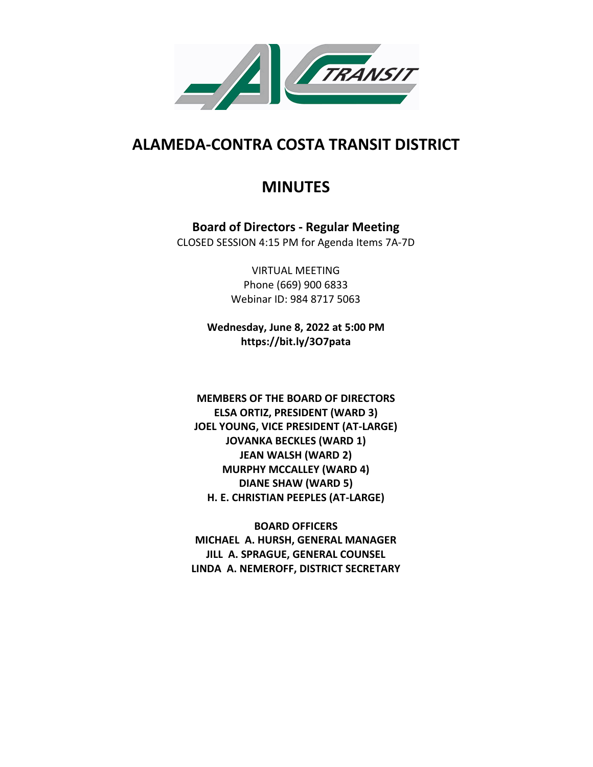

# **ALAMEDA-CONTRA COSTA TRANSIT DISTRICT**

# **MINUTES**

**Board of Directors - Regular Meeting** CLOSED SESSION 4:15 PM for Agenda Items 7A-7D

> VIRTUAL MEETING Phone (669) 900 6833 Webinar ID: 984 8717 5063

**Wednesday, June 8, 2022 at 5:00 PM https://bit.ly/3O7pata**

**MEMBERS OF THE BOARD OF DIRECTORS ELSA ORTIZ, PRESIDENT (WARD 3) JOEL YOUNG, VICE PRESIDENT (AT-LARGE) JOVANKA BECKLES (WARD 1) JEAN WALSH (WARD 2) MURPHY MCCALLEY (WARD 4) DIANE SHAW (WARD 5) H. E. CHRISTIAN PEEPLES (AT-LARGE)**

**BOARD OFFICERS MICHAEL A. HURSH, GENERAL MANAGER JILL A. SPRAGUE, GENERAL COUNSEL LINDA A. NEMEROFF, DISTRICT SECRETARY**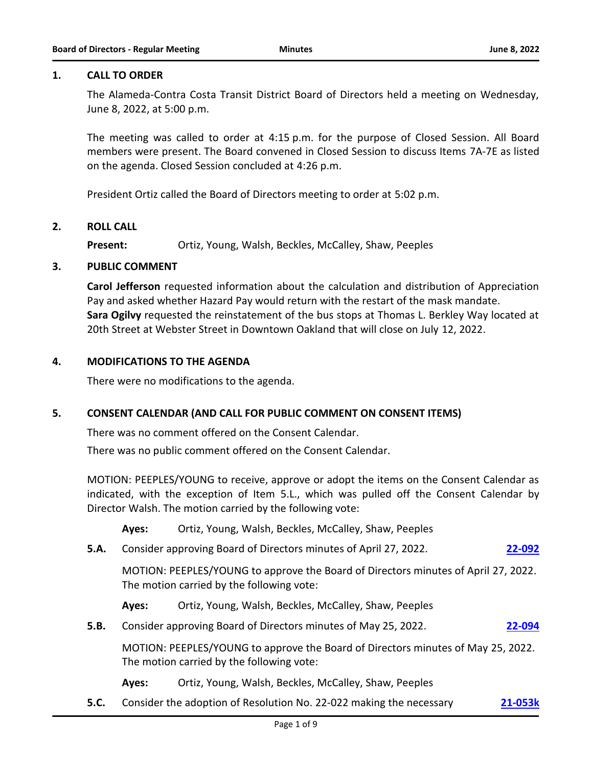#### **1. CALL TO ORDER**

The Alameda-Contra Costa Transit District Board of Directors held a meeting on Wednesday, June 8, 2022, at 5:00 p.m.

The meeting was called to order at 4:15 p.m. for the purpose of Closed Session. All Board members were present. The Board convened in Closed Session to discuss Items 7A-7E as listed on the agenda. Closed Session concluded at 4:26 p.m.

President Ortiz called the Board of Directors meeting to order at 5:02 p.m.

#### **2. ROLL CALL**

**Present:** Ortiz, Young, Walsh, Beckles, McCalley, Shaw, Peeples

#### **3. PUBLIC COMMENT**

**Carol Jefferson** requested information about the calculation and distribution of Appreciation Pay and asked whether Hazard Pay would return with the restart of the mask mandate. **Sara Ogilvy** requested the reinstatement of the bus stops at Thomas L. Berkley Way located at 20th Street at Webster Street in Downtown Oakland that will close on July 12, 2022.

#### **4. MODIFICATIONS TO THE AGENDA**

There were no modifications to the agenda.

#### **5. CONSENT CALENDAR (AND CALL FOR PUBLIC COMMENT ON CONSENT ITEMS)**

There was no comment offered on the Consent Calendar.

There was no public comment offered on the Consent Calendar.

MOTION: PEEPLES/YOUNG to receive, approve or adopt the items on the Consent Calendar as indicated, with the exception of Item 5.L., which was pulled off the Consent Calendar by Director Walsh. The motion carried by the following vote:

**Ayes:** Ortiz, Young, Walsh, Beckles, McCalley, Shaw, Peeples

**5.A.** Consider approving Board of Directors minutes of April 27, 2022. **[22-092](http://actransit.legistar.com/gateway.aspx?m=l&id=/matter.aspx?key=4824)**

MOTION: PEEPLES/YOUNG to approve the Board of Directors minutes of April 27, 2022. The motion carried by the following vote:

**Ayes:** Ortiz, Young, Walsh, Beckles, McCalley, Shaw, Peeples

**5.B.** Consider approving Board of Directors minutes of May 25, 2022. **[22-094](http://actransit.legistar.com/gateway.aspx?m=l&id=/matter.aspx?key=4826)**

MOTION: PEEPLES/YOUNG to approve the Board of Directors minutes of May 25, 2022. The motion carried by the following vote:

- **Ayes:** Ortiz, Young, Walsh, Beckles, McCalley, Shaw, Peeples
- **5.C.** Consider the adoption of Resolution No. 22-022 making the necessary **[21-053k](http://actransit.legistar.com/gateway.aspx?m=l&id=/matter.aspx?key=5107)**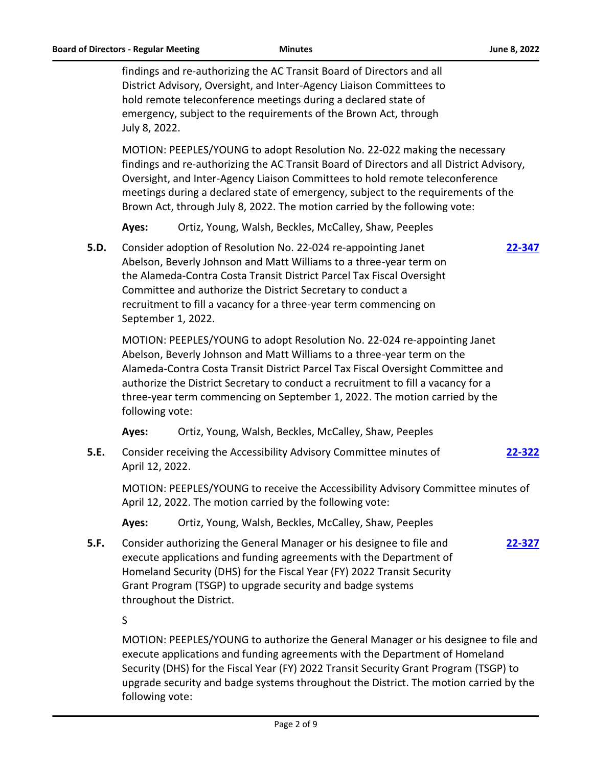findings and re-authorizing the AC Transit Board of Directors and all District Advisory, Oversight, and Inter-Agency Liaison Committees to hold remote teleconference meetings during a declared state of emergency, subject to the requirements of the Brown Act, through July 8, 2022.

MOTION: PEEPLES/YOUNG to adopt Resolution No. 22-022 making the necessary findings and re-authorizing the AC Transit Board of Directors and all District Advisory, Oversight, and Inter-Agency Liaison Committees to hold remote teleconference meetings during a declared state of emergency, subject to the requirements of the Brown Act, through July 8, 2022. The motion carried by the following vote:

**Ayes:** Ortiz, Young, Walsh, Beckles, McCalley, Shaw, Peeples

**5.D.** Consider adoption of Resolution No. 22-024 re-appointing Janet Abelson, Beverly Johnson and Matt Williams to a three-year term on the Alameda-Contra Costa Transit District Parcel Tax Fiscal Oversight Committee and authorize the District Secretary to conduct a recruitment to fill a vacancy for a three-year term commencing on September 1, 2022.

MOTION: PEEPLES/YOUNG to adopt Resolution No. 22-024 re-appointing Janet Abelson, Beverly Johnson and Matt Williams to a three-year term on the Alameda-Contra Costa Transit District Parcel Tax Fiscal Oversight Committee and authorize the District Secretary to conduct a recruitment to fill a vacancy for a three-year term commencing on September 1, 2022. The motion carried by the following vote:

**Ayes:** Ortiz, Young, Walsh, Beckles, McCalley, Shaw, Peeples

**5.E.** Consider receiving the Accessibility Advisory Committee minutes of April 12, 2022. **[22-322](http://actransit.legistar.com/gateway.aspx?m=l&id=/matter.aspx?key=5097)**

MOTION: PEEPLES/YOUNG to receive the Accessibility Advisory Committee minutes of April 12, 2022. The motion carried by the following vote:

**Ayes:** Ortiz, Young, Walsh, Beckles, McCalley, Shaw, Peeples

**5.F.** Consider authorizing the General Manager or his designee to file and execute applications and funding agreements with the Department of Homeland Security (DHS) for the Fiscal Year (FY) 2022 Transit Security Grant Program (TSGP) to upgrade security and badge systems throughout the District. **[22-327](http://actransit.legistar.com/gateway.aspx?m=l&id=/matter.aspx?key=5103)**

S

MOTION: PEEPLES/YOUNG to authorize the General Manager or his designee to file and execute applications and funding agreements with the Department of Homeland Security (DHS) for the Fiscal Year (FY) 2022 Transit Security Grant Program (TSGP) to upgrade security and badge systems throughout the District. The motion carried by the following vote:

**[22-347](http://actransit.legistar.com/gateway.aspx?m=l&id=/matter.aspx?key=5127)**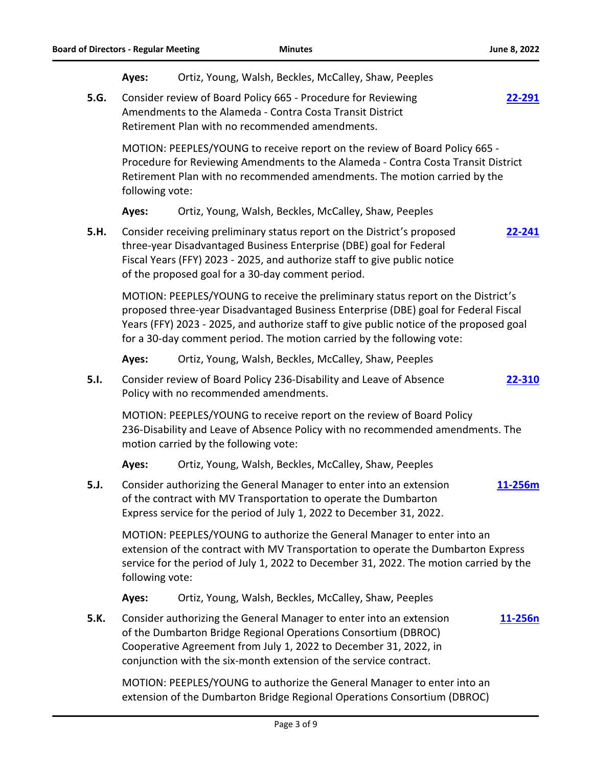|      | Ayes:                                                                                                                                                                                                                                                                                                                                        | Ortiz, Young, Walsh, Beckles, McCalley, Shaw, Peeples                                                                                                                                                          |         |
|------|----------------------------------------------------------------------------------------------------------------------------------------------------------------------------------------------------------------------------------------------------------------------------------------------------------------------------------------------|----------------------------------------------------------------------------------------------------------------------------------------------------------------------------------------------------------------|---------|
| 5.G. | Consider review of Board Policy 665 - Procedure for Reviewing<br>22-291<br>Amendments to the Alameda - Contra Costa Transit District<br>Retirement Plan with no recommended amendments.                                                                                                                                                      |                                                                                                                                                                                                                |         |
|      | MOTION: PEEPLES/YOUNG to receive report on the review of Board Policy 665 -<br>Procedure for Reviewing Amendments to the Alameda - Contra Costa Transit District<br>Retirement Plan with no recommended amendments. The motion carried by the<br>following vote:                                                                             |                                                                                                                                                                                                                |         |
|      | Ayes:                                                                                                                                                                                                                                                                                                                                        | Ortiz, Young, Walsh, Beckles, McCalley, Shaw, Peeples                                                                                                                                                          |         |
| 5.H. | Consider receiving preliminary status report on the District's proposed<br>22-241<br>three-year Disadvantaged Business Enterprise (DBE) goal for Federal<br>Fiscal Years (FFY) 2023 - 2025, and authorize staff to give public notice<br>of the proposed goal for a 30-day comment period.                                                   |                                                                                                                                                                                                                |         |
|      | MOTION: PEEPLES/YOUNG to receive the preliminary status report on the District's<br>proposed three-year Disadvantaged Business Enterprise (DBE) goal for Federal Fiscal<br>Years (FFY) 2023 - 2025, and authorize staff to give public notice of the proposed goal<br>for a 30-day comment period. The motion carried by the following vote: |                                                                                                                                                                                                                |         |
|      | Ayes:                                                                                                                                                                                                                                                                                                                                        | Ortiz, Young, Walsh, Beckles, McCalley, Shaw, Peeples                                                                                                                                                          |         |
| 5.1. | Consider review of Board Policy 236-Disability and Leave of Absence<br>22-310<br>Policy with no recommended amendments.                                                                                                                                                                                                                      |                                                                                                                                                                                                                |         |
|      | MOTION: PEEPLES/YOUNG to receive report on the review of Board Policy<br>236-Disability and Leave of Absence Policy with no recommended amendments. The<br>motion carried by the following vote:                                                                                                                                             |                                                                                                                                                                                                                |         |
|      | Ayes:                                                                                                                                                                                                                                                                                                                                        | Ortiz, Young, Walsh, Beckles, McCalley, Shaw, Peeples                                                                                                                                                          |         |
| 5.J. |                                                                                                                                                                                                                                                                                                                                              | Consider authorizing the General Manager to enter into an extension<br>of the contract with MV Transportation to operate the Dumbarton<br>Express service for the period of July 1, 2022 to December 31, 2022. | 11-256m |
|      | MOTION: PEEPLES/YOUNG to authorize the General Manager to enter into an<br>extension of the contract with MV Transportation to operate the Dumbarton Express<br>service for the period of July 1, 2022 to December 31, 2022. The motion carried by the<br>following vote:                                                                    |                                                                                                                                                                                                                |         |
|      | Ayes:                                                                                                                                                                                                                                                                                                                                        | Ortiz, Young, Walsh, Beckles, McCalley, Shaw, Peeples                                                                                                                                                          |         |
| 5.K. | Consider authorizing the General Manager to enter into an extension<br>11-256n<br>of the Dumbarton Bridge Regional Operations Consortium (DBROC)<br>Cooperative Agreement from July 1, 2022 to December 31, 2022, in<br>conjunction with the six-month extension of the service contract.                                                    |                                                                                                                                                                                                                |         |
|      | MOTION: PEEPLES/YOUNG to authorize the General Manager to enter into an<br>extension of the Dumbarton Bridge Regional Operations Consortium (DBROC)                                                                                                                                                                                          |                                                                                                                                                                                                                |         |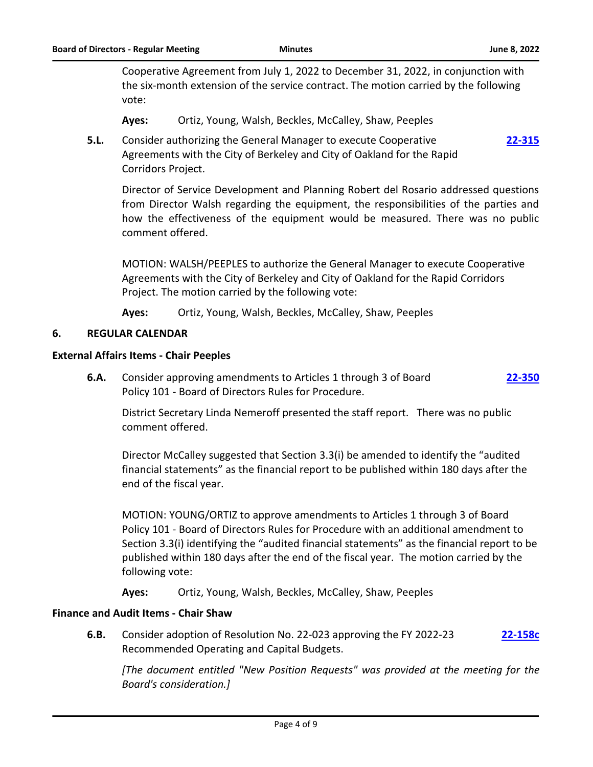**[22-315](http://actransit.legistar.com/gateway.aspx?m=l&id=/matter.aspx?key=5085)**

Cooperative Agreement from July 1, 2022 to December 31, 2022, in conjunction with the six-month extension of the service contract. The motion carried by the following vote:

- **Ayes:** Ortiz, Young, Walsh, Beckles, McCalley, Shaw, Peeples
- **5.L.** Consider authorizing the General Manager to execute Cooperative Agreements with the City of Berkeley and City of Oakland for the Rapid Corridors Project.

Director of Service Development and Planning Robert del Rosario addressed questions from Director Walsh regarding the equipment, the responsibilities of the parties and how the effectiveness of the equipment would be measured. There was no public comment offered.

MOTION: WALSH/PEEPLES to authorize the General Manager to execute Cooperative Agreements with the City of Berkeley and City of Oakland for the Rapid Corridors Project. The motion carried by the following vote:

**Ayes:** Ortiz, Young, Walsh, Beckles, McCalley, Shaw, Peeples

#### **6. REGULAR CALENDAR**

#### **External Affairs Items - Chair Peeples**

**6.A.** Consider approving amendments to Articles 1 through 3 of Board Policy 101 - Board of Directors Rules for Procedure. **[22-350](http://actransit.legistar.com/gateway.aspx?m=l&id=/matter.aspx?key=5134)**

District Secretary Linda Nemeroff presented the staff report. There was no public comment offered.

Director McCalley suggested that Section 3.3(i) be amended to identify the "audited financial statements" as the financial report to be published within 180 days after the end of the fiscal year.

MOTION: YOUNG/ORTIZ to approve amendments to Articles 1 through 3 of Board Policy 101 - Board of Directors Rules for Procedure with an additional amendment to Section 3.3(i) identifying the "audited financial statements" as the financial report to be published within 180 days after the end of the fiscal year. The motion carried by the following vote:

**Ayes:** Ortiz, Young, Walsh, Beckles, McCalley, Shaw, Peeples

#### **Finance and Audit Items - Chair Shaw**

**6.B.** Consider adoption of Resolution No. 22-023 approving the FY 2022-23 Recommended Operating and Capital Budgets. **[22-158c](http://actransit.legistar.com/gateway.aspx?m=l&id=/matter.aspx?key=5090)**

*[The document entitled "New Position Requests" was provided at the meeting for the Board's consideration.]*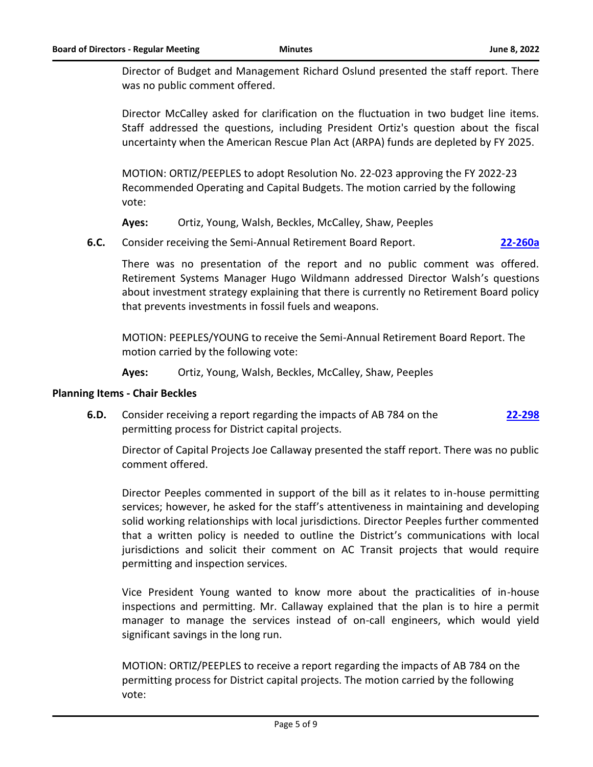Director of Budget and Management Richard Oslund presented the staff report. There was no public comment offered.

Director McCalley asked for clarification on the fluctuation in two budget line items. Staff addressed the questions, including President Ortiz's question about the fiscal uncertainty when the American Rescue Plan Act (ARPA) funds are depleted by FY 2025.

MOTION: ORTIZ/PEEPLES to adopt Resolution No. 22-023 approving the FY 2022-23 Recommended Operating and Capital Budgets. The motion carried by the following vote:

**Ayes:** Ortiz, Young, Walsh, Beckles, McCalley, Shaw, Peeples

**6.C.** Consider receiving the Semi-Annual Retirement Board Report. **[22-260a](http://actransit.legistar.com/gateway.aspx?m=l&id=/matter.aspx?key=5128)**

There was no presentation of the report and no public comment was offered. Retirement Systems Manager Hugo Wildmann addressed Director Walsh's questions about investment strategy explaining that there is currently no Retirement Board policy that prevents investments in fossil fuels and weapons.

MOTION: PEEPLES/YOUNG to receive the Semi-Annual Retirement Board Report. The motion carried by the following vote:

**Ayes:** Ortiz, Young, Walsh, Beckles, McCalley, Shaw, Peeples

#### **Planning Items - Chair Beckles**

**6.D.** Consider receiving a report regarding the impacts of AB 784 on the permitting process for District capital projects. **[22-298](http://actransit.legistar.com/gateway.aspx?m=l&id=/matter.aspx?key=5064)**

Director of Capital Projects Joe Callaway presented the staff report. There was no public comment offered.

Director Peeples commented in support of the bill as it relates to in-house permitting services; however, he asked for the staff's attentiveness in maintaining and developing solid working relationships with local jurisdictions. Director Peeples further commented that a written policy is needed to outline the District's communications with local jurisdictions and solicit their comment on AC Transit projects that would require permitting and inspection services.

Vice President Young wanted to know more about the practicalities of in-house inspections and permitting. Mr. Callaway explained that the plan is to hire a permit manager to manage the services instead of on-call engineers, which would yield significant savings in the long run.

MOTION: ORTIZ/PEEPLES to receive a report regarding the impacts of AB 784 on the permitting process for District capital projects. The motion carried by the following vote: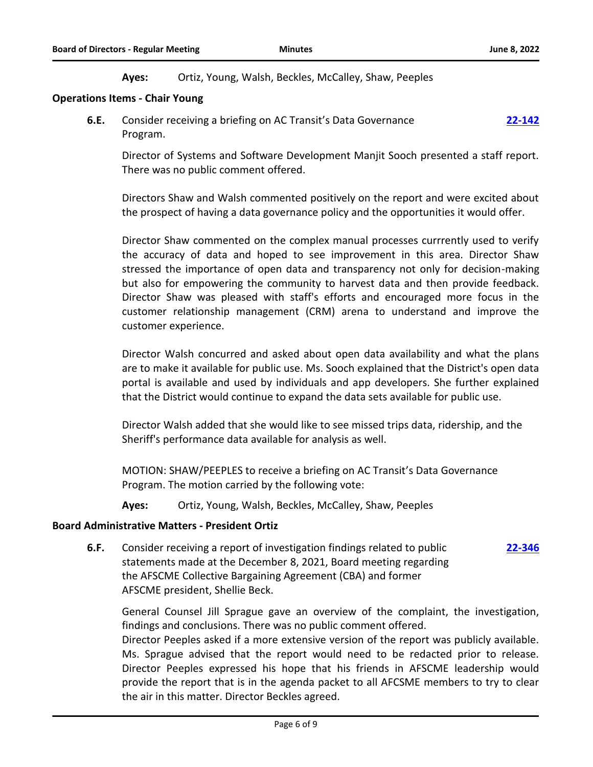**Ayes:** Ortiz, Young, Walsh, Beckles, McCalley, Shaw, Peeples

#### **Operations Items - Chair Young**

**6.E.** Consider receiving a briefing on AC Transit's Data Governance Program. **[22-142](http://actransit.legistar.com/gateway.aspx?m=l&id=/matter.aspx?key=4879)**

Director of Systems and Software Development Manjit Sooch presented a staff report. There was no public comment offered.

Directors Shaw and Walsh commented positively on the report and were excited about the prospect of having a data governance policy and the opportunities it would offer.

Director Shaw commented on the complex manual processes currrently used to verify the accuracy of data and hoped to see improvement in this area. Director Shaw stressed the importance of open data and transparency not only for decision-making but also for empowering the community to harvest data and then provide feedback. Director Shaw was pleased with staff's efforts and encouraged more focus in the customer relationship management (CRM) arena to understand and improve the customer experience.

Director Walsh concurred and asked about open data availability and what the plans are to make it available for public use. Ms. Sooch explained that the District's open data portal is available and used by individuals and app developers. She further explained that the District would continue to expand the data sets available for public use.

Director Walsh added that she would like to see missed trips data, ridership, and the Sheriff's performance data available for analysis as well.

MOTION: SHAW/PEEPLES to receive a briefing on AC Transit's Data Governance Program. The motion carried by the following vote:

**Ayes:** Ortiz, Young, Walsh, Beckles, McCalley, Shaw, Peeples

#### **Board Administrative Matters - President Ortiz**

**6.F.** Consider receiving a report of investigation findings related to public statements made at the December 8, 2021, Board meeting regarding the AFSCME Collective Bargaining Agreement (CBA) and former AFSCME president, Shellie Beck. **[22-346](http://actransit.legistar.com/gateway.aspx?m=l&id=/matter.aspx?key=5125)**

General Counsel Jill Sprague gave an overview of the complaint, the investigation, findings and conclusions. There was no public comment offered.

Director Peeples asked if a more extensive version of the report was publicly available. Ms. Sprague advised that the report would need to be redacted prior to release. Director Peeples expressed his hope that his friends in AFSCME leadership would provide the report that is in the agenda packet to all AFCSME members to try to clear the air in this matter. Director Beckles agreed.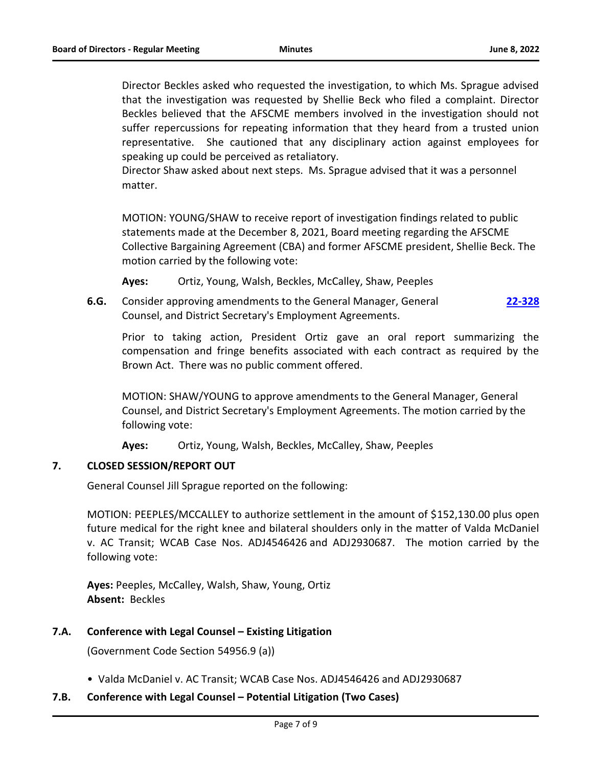Director Beckles asked who requested the investigation, to which Ms. Sprague advised that the investigation was requested by Shellie Beck who filed a complaint. Director Beckles believed that the AFSCME members involved in the investigation should not suffer repercussions for repeating information that they heard from a trusted union representative. She cautioned that any disciplinary action against employees for speaking up could be perceived as retaliatory.

Director Shaw asked about next steps. Ms. Sprague advised that it was a personnel matter.

MOTION: YOUNG/SHAW to receive report of investigation findings related to public statements made at the December 8, 2021, Board meeting regarding the AFSCME Collective Bargaining Agreement (CBA) and former AFSCME president, Shellie Beck. The motion carried by the following vote:

**Ayes:** Ortiz, Young, Walsh, Beckles, McCalley, Shaw, Peeples

**6.G.** Consider approving amendments to the General Manager, General Counsel, and District Secretary's Employment Agreements. **[22-328](http://actransit.legistar.com/gateway.aspx?m=l&id=/matter.aspx?key=5104)**

Prior to taking action, President Ortiz gave an oral report summarizing the compensation and fringe benefits associated with each contract as required by the Brown Act. There was no public comment offered.

MOTION: SHAW/YOUNG to approve amendments to the General Manager, General Counsel, and District Secretary's Employment Agreements. The motion carried by the following vote:

**Ayes:** Ortiz, Young, Walsh, Beckles, McCalley, Shaw, Peeples

#### **7. CLOSED SESSION/REPORT OUT**

General Counsel Jill Sprague reported on the following:

MOTION: PEEPLES/MCCALLEY to authorize settlement in the amount of \$152,130.00 plus open future medical for the right knee and bilateral shoulders only in the matter of Valda McDaniel v. AC Transit; WCAB Case Nos. ADJ4546426 and ADJ2930687. The motion carried by the following vote:

**Ayes:** Peeples, McCalley, Walsh, Shaw, Young, Ortiz **Absent:** Beckles

# **7.A. Conference with Legal Counsel – Existing Litigation**

(Government Code Section 54956.9 (a))

• Valda McDaniel v. AC Transit; WCAB Case Nos. ADJ4546426 and ADJ2930687

# **7.B. Conference with Legal Counsel – Potential Litigation (Two Cases)**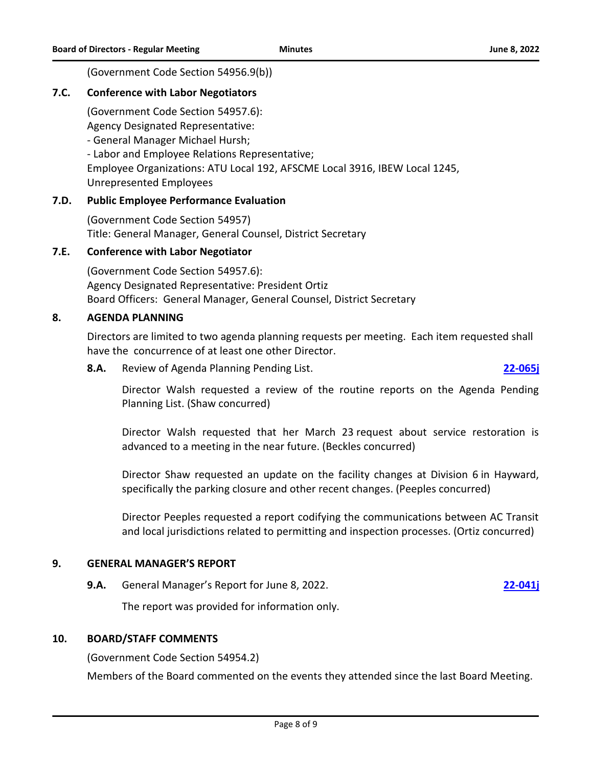(Government Code Section 54956.9(b))

## **7.C. Conference with Labor Negotiators**

(Government Code Section 54957.6):

Agency Designated Representative:

- General Manager Michael Hursh;

- Labor and Employee Relations Representative; Employee Organizations: ATU Local 192, AFSCME Local 3916, IBEW Local 1245, Unrepresented Employees

# **7.D. Public Employee Performance Evaluation**

(Government Code Section 54957) Title: General Manager, General Counsel, District Secretary

### **7.E. Conference with Labor Negotiator**

(Government Code Section 54957.6): Agency Designated Representative: President Ortiz Board Officers: General Manager, General Counsel, District Secretary

#### **8. AGENDA PLANNING**

Directors are limited to two agenda planning requests per meeting. Each item requested shall have the concurrence of at least one other Director.

**8.A.** Review of Agenda Planning Pending List. **[22-065j](http://actransit.legistar.com/gateway.aspx?m=l&id=/matter.aspx?key=4806)**

Director Walsh requested a review of the routine reports on the Agenda Pending Planning List. (Shaw concurred)

Director Walsh requested that her March 23 request about service restoration is advanced to a meeting in the near future. (Beckles concurred)

Director Shaw requested an update on the facility changes at Division 6 in Hayward, specifically the parking closure and other recent changes. (Peeples concurred)

Director Peeples requested a report codifying the communications between AC Transit and local jurisdictions related to permitting and inspection processes. (Ortiz concurred)

#### **9. GENERAL MANAGER'S REPORT**

**9.A.** General Manager's Report for June 8, 2022. **[22-041j](http://actransit.legistar.com/gateway.aspx?m=l&id=/matter.aspx?key=4783)**

The report was provided for information only.

### **10. BOARD/STAFF COMMENTS**

(Government Code Section 54954.2)

Members of the Board commented on the events they attended since the last Board Meeting.